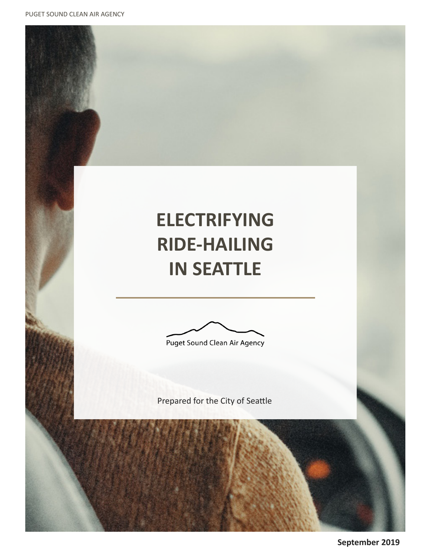PUGET SOUND CLEAN AIR AGENCY

# **ELECTRIFYING RIDE-HAILING IN SEATTLE**

Puget Sound Clean Air Agency

Prepared for the City of Seattle

**September 2019**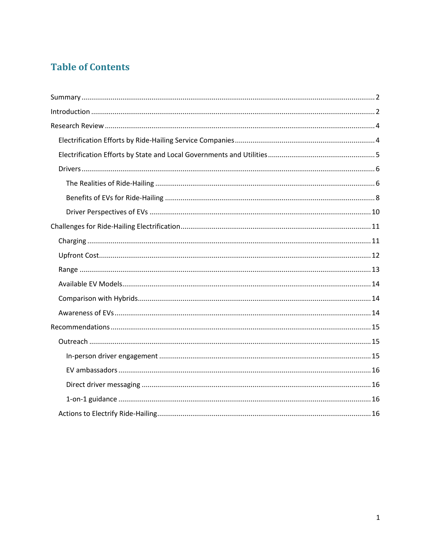# **Table of Contents**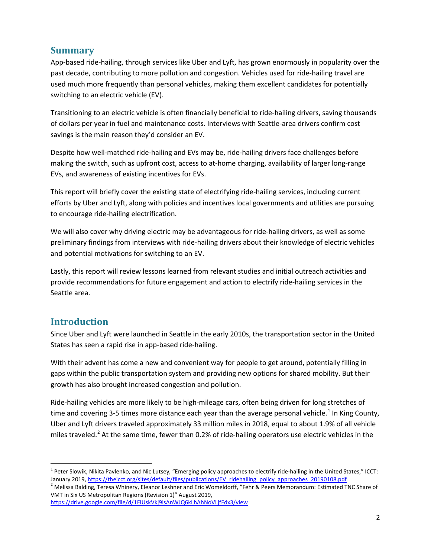# <span id="page-2-0"></span>**Summary**

App-based ride-hailing, through services like Uber and Lyft, has grown enormously in popularity over the past decade, contributing to more pollution and congestion. Vehicles used for ride-hailing travel are used much more frequently than personal vehicles, making them excellent candidates for potentially switching to an electric vehicle (EV).

Transitioning to an electric vehicle is often financially beneficial to ride-hailing drivers, saving thousands of dollars per year in fuel and maintenance costs. Interviews with Seattle-area drivers confirm cost savings is the main reason they'd consider an EV.

Despite how well-matched ride-hailing and EVs may be, ride-hailing drivers face challenges before making the switch, such as upfront cost, access to at-home charging, availability of larger long-range EVs, and awareness of existing incentives for EVs.

This report will briefly cover the existing state of electrifying ride-hailing services, including current efforts by Uber and Lyft, along with policies and incentives local governments and utilities are pursuing to encourage ride-hailing electrification.

We will also cover why driving electric may be advantageous for ride-hailing drivers, as well as some preliminary findings from interviews with ride-hailing drivers about their knowledge of electric vehicles and potential motivations for switching to an EV.

Lastly, this report will review lessons learned from relevant studies and initial outreach activities and provide recommendations for future engagement and action to electrify ride-hailing services in the Seattle area.

# <span id="page-2-1"></span>**Introduction**

Since Uber and Lyft were launched in Seattle in the early 2010s, the transportation sector in the United States has seen a rapid rise in app-based ride-hailing.

With their advent has come a new and convenient way for people to get around, potentially filling in gaps within the public transportation system and providing new options for shared mobility. But their growth has also brought increased congestion and pollution.

Ride-hailing vehicles are more likely to be high-mileage cars, often being driven for long stretches of time and covering 3-5 times more distance each year than the average personal vehicle.<sup>[1](#page-2-2)</sup> In King County, Uber and Lyft drivers traveled approximately 33 million miles in 2018, equal to about 1.9% of all vehicle miles traveled.<sup>[2](#page-2-3)</sup> At the same time, fewer than 0.2% of ride-hailing operators use electric vehicles in the

<span id="page-2-2"></span><sup>&</sup>lt;sup>1</sup> Peter Slowik, Nikita Pavlenko, and Nic Lutsey, "Emerging policy approaches to electrify ride-hailing in the United States," ICCT:<br>January 2019, https://theicct.org/sites/default/files/publications/EV ridehailing policy

<span id="page-2-3"></span><sup>&</sup>lt;sup>2</sup> Melissa Balding, Teresa Whinery, Eleanor Leshner and Eric Womeldorff, "Fehr & Peers Memorandum: Estimated TNC Share of VMT in Six US Metropolitan Regions (Revision 1)" August 2019,

<https://drive.google.com/file/d/1FIUskVkj9lsAnWJQ6kLhAhNoVLjfFdx3/view>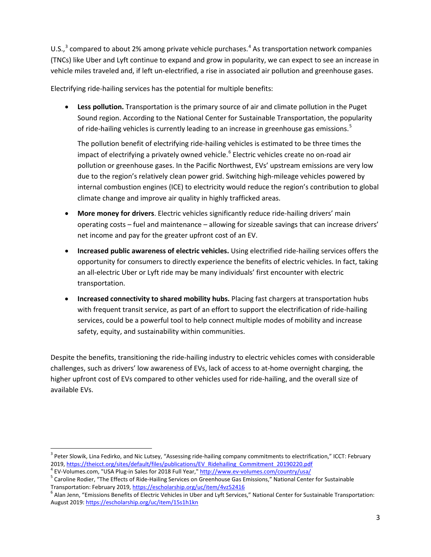U.S., $3$  compared to about 2% among private vehicle purchases.<sup>[4](#page-3-1)</sup> As transportation network companies (TNCs) like Uber and Lyft continue to expand and grow in popularity, we can expect to see an increase in vehicle miles traveled and, if left un-electrified, a rise in associated air pollution and greenhouse gases.

Electrifying ride-hailing services has the potential for multiple benefits:

• **Less pollution.** Transportation is the primary source of air and climate pollution in the Puget Sound region. According to the National Center for Sustainable Transportation, the popularity of ride-hailing vehicles is currently leading to an increase in greenhouse gas emissions.<sup>[5](#page-3-2)</sup>

The pollution benefit of electrifying ride-hailing vehicles is estimated to be three times the impact of electrifying a privately owned vehicle.<sup>[6](#page-3-3)</sup> Electric vehicles create no on-road air pollution or greenhouse gases. In the Pacific Northwest, EVs' upstream emissions are very low due to the region's relatively clean power grid. Switching high-mileage vehicles powered by internal combustion engines (ICE) to electricity would reduce the region's contribution to global climate change and improve air quality in highly trafficked areas.

- **More money for drivers**. Electric vehicles significantly reduce ride-hailing drivers' main operating costs – fuel and maintenance – allowing for sizeable savings that can increase drivers' net income and pay for the greater upfront cost of an EV.
- **Increased public awareness of electric vehicles.** Using electrified ride-hailing services offers the opportunity for consumers to directly experience the benefits of electric vehicles. In fact, taking an all-electric Uber or Lyft ride may be many individuals' first encounter with electric transportation.
- **Increased connectivity to shared mobility hubs.** Placing fast chargers at transportation hubs with frequent transit service, as part of an effort to support the electrification of ride-hailing services, could be a powerful tool to help connect multiple modes of mobility and increase safety, equity, and sustainability within communities.

Despite the benefits, transitioning the ride-hailing industry to electric vehicles comes with considerable challenges, such as drivers' low awareness of EVs, lack of access to at-home overnight charging, the higher upfront cost of EVs compared to other vehicles used for ride-hailing, and the overall size of available EVs.

<span id="page-3-0"></span><sup>&</sup>lt;sup>3</sup> Peter Slowik, Lina Fedirko, and Nic Lutsey, "Assessing ride-hailing company commitments to electrification," ICCT: February

<span id="page-3-2"></span><span id="page-3-1"></span>

<sup>2019</sup>[, https://theicct.org/sites/default/files/publications/EV\\_Ridehailing\\_Commitment\\_20190220.pdf](https://theicct.org/sites/default/files/publications/EV_Ridehailing_Commitment_20190220.pdf)<br>
<sup>4</sup> EV-Volumes.com, "USA Plug-in Sales for 2018 Full Year,[" http://www.ev-volumes.com/country/usa/](http://www.ev-volumes.com/country/usa/)<br>
<sup>5</sup> Caroline Rodier, "T

<span id="page-3-3"></span> $6$  Alan Jenn, "Emissions Benefits of Electric Vehicles in Uber and Lyft Services," National Center for Sustainable Transportation: August 2019[: https://escholarship.org/uc/item/15s1h1kn](https://escholarship.org/uc/item/15s1h1kn)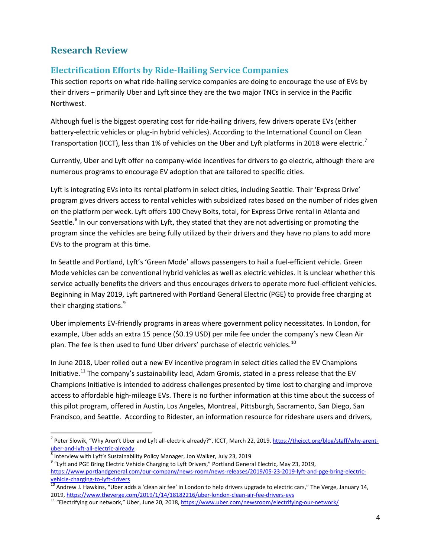# <span id="page-4-0"></span>**Research Review**

# <span id="page-4-1"></span>**Electrification Efforts by Ride-Hailing Service Companies**

This section reports on what ride-hailing service companies are doing to encourage the use of EVs by their drivers – primarily Uber and Lyft since they are the two major TNCs in service in the Pacific Northwest.

Although fuel is the biggest operating cost for ride-hailing drivers, few drivers operate EVs (either battery-electric vehicles or plug-in hybrid vehicles). According to the International Council on Clean Transportation (ICCT), less than 1% of vehicles on the Uber and Lyft platforms in 2018 were electric.<sup>[7](#page-4-2)</sup>

Currently, Uber and Lyft offer no company-wide incentives for drivers to go electric, although there are numerous programs to encourage EV adoption that are tailored to specific cities.

Lyft is integrating EVs into its rental platform in select cities, including Seattle. Their 'Express Drive' program gives drivers access to rental vehicles with subsidized rates based on the number of rides given on the platform per week. Lyft offers 100 Chevy Bolts, total, for Express Drive rental in Atlanta and Seattle.<sup>[8](#page-4-3)</sup> In our conversations with Lyft, they stated that they are not advertising or promoting the program since the vehicles are being fully utilized by their drivers and they have no plans to add more EVs to the program at this time.

In Seattle and Portland, Lyft's 'Green Mode' allows passengers to hail a fuel-efficient vehicle. Green Mode vehicles can be conventional hybrid vehicles as well as electric vehicles. It is unclear whether this service actually benefits the drivers and thus encourages drivers to operate more fuel-efficient vehicles. Beginning in May 2019, Lyft partnered with Portland General Electric (PGE) to provide free charging at their charging stations.<sup>[9](#page-4-4)</sup>

Uber implements EV-friendly programs in areas where government policy necessitates. In London, for example, Uber adds an extra 15 pence (\$0.19 USD) per mile fee under the company's new Clean Air plan. The fee is then used to fund Uber drivers' purchase of electric vehicles.<sup>[10](#page-4-5)</sup>

In June 2018, Uber rolled out a new EV incentive program in select cities called the EV Champions Initiative.<sup>[11](#page-4-6)</sup> The company's sustainability lead, Adam Gromis, stated in a press release that the EV Champions Initiative is intended to address challenges presented by time lost to charging and improve access to affordable high-mileage EVs. There is no further information at this time about the success of this pilot program, offered in Austin, Los Angeles, Montreal, Pittsburgh, Sacramento, San Diego, San Francisco, and Seattle. According to Ridester, an information resource for rideshare users and drivers,

<span id="page-4-2"></span><sup>&</sup>lt;sup>7</sup> Peter Slowik, "Why Aren't Uber and Lyft all-electric already?", ICCT, March 22, 2019, <u>https://theicct.org/blog/staff/why-arent-</u><br>uber-and-lyft-all-electric-already

<span id="page-4-4"></span>

<span id="page-4-3"></span> $\frac{8}{9}$  Interview with Lyft's Sustainability Policy Manager, Jon Walker, July 23, 2019 23, 2019 23, 2019 9 "Lyft and PGE Bring Electric Vehicle Charging to Lyft Drivers," Portland General Electric, May 23, 2019, [https://www.portlandgeneral.com/our-company/news-room/news-releases/2019/05-23-2019-lyft-and-pge-bring-electric-](https://www.portlandgeneral.com/our-company/news-room/news-releases/2019/05-23-2019-lyft-and-pge-bring-electric-vehicle-charging-to-lyft-drivers)

<span id="page-4-5"></span>[vehicle-charging-to-lyft-drivers](https://www.portlandgeneral.com/our-company/news-room/news-releases/2019/05-23-2019-lyft-and-pge-bring-electric-vehicle-charging-to-lyft-drivers)<br><sup>10</sup> Andrew J. Hawkins, "Uber adds a 'clean air fee' in London to help drivers upgrade to electric cars," The Verge, January 14,<br>2019, https://www.theverge.com/2019/1/14/18182216/uber-londo

<span id="page-4-6"></span><sup>&</sup>lt;sup>11</sup> "Electrifying our network," Uber, June 20, 2018[, https://www.uber.com/newsroom/electrifying-our-network/](https://www.uber.com/newsroom/electrifying-our-network/)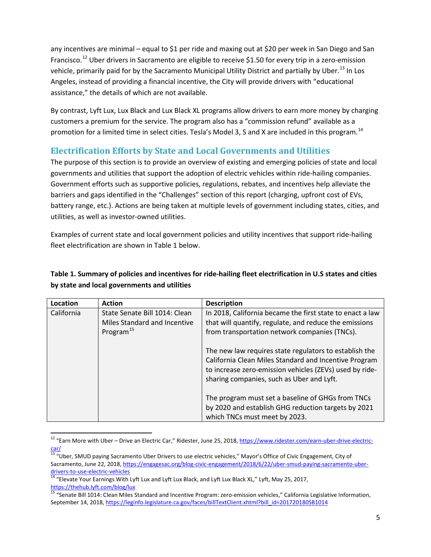any incentives are minimal – equal to \$1 per ride and maxing out at \$20 per week in San Diego and San Francisco.<sup>[12](#page-5-1)</sup> Uber drivers in Sacramento are eligible to receive \$1.50 for every trip in a zero-emission vehicle, primarily paid for by the Sacramento Municipal Utility District and partially by Uber.<sup>[13](#page-5-2)</sup> In Los Angeles, instead of providing a financial incentive, the City will provide drivers with "educational assistance," the details of which are not available.

By contrast, Lyft Lux, Lux Black and Lux Black XL programs allow drivers to earn more money by charging customers a premium for the service. The program also has a "commission refund" available as a promotion for a limited time in select cities. Tesla's Model 3, S and X are included in this program.<sup>[14](#page-5-3)</sup>

# <span id="page-5-0"></span>**Electrification Efforts by State and Local Governments and Utilities**

The purpose of this section is to provide an overview of existing and emerging policies of state and local governments and utilities that support the adoption of electric vehicles within ride-hailing companies. Government efforts such as supportive policies, regulations, rebates, and incentives help alleviate the barriers and gaps identified in the "Challenges" section of this report (charging, upfront cost of EVs, battery range, etc.). Actions are being taken at multiple levels of government including states, cities, and utilities, as well as investor-owned utilities.

Examples of current state and local government policies and utility incentives that support ride-hailing fleet electrification are shown in Table 1 below.

#### **Table 1. Summary of policies and incentives for ride-hailing fleet electrification in U.S states and cities by state and local governments and utilities**

| Location   | <b>Action</b>                                                                          | <b>Description</b>                                                                                                                                                                                                      |
|------------|----------------------------------------------------------------------------------------|-------------------------------------------------------------------------------------------------------------------------------------------------------------------------------------------------------------------------|
| California | State Senate Bill 1014: Clean<br>Miles Standard and Incentive<br>Program <sup>15</sup> | In 2018, California became the first state to enact a law<br>that will quantify, regulate, and reduce the emissions<br>from transportation network companies (TNCs).                                                    |
|            |                                                                                        | The new law requires state regulators to establish the<br>California Clean Miles Standard and Incentive Program<br>to increase zero-emission vehicles (ZEVs) used by ride-<br>sharing companies, such as Uber and Lyft. |
|            |                                                                                        | The program must set a baseline of GHGs from TNCs<br>by 2020 and establish GHG reduction targets by 2021<br>which TNCs must meet by 2023.                                                                               |

<span id="page-5-1"></span><sup>&</sup>lt;sup>12</sup> "Earn More with Uber – Drive an Electric Car," Ridester, June 25, 2018[, https://www.ridester.com/earn-uber-drive-electric](https://www.ridester.com/earn-uber-drive-electric-car/)[car/](https://www.ridester.com/earn-uber-drive-electric-car/)

<span id="page-5-2"></span><sup>&</sup>lt;sup>13</sup> "Uber, SMUD paying Sacramento Uber Drivers to use electric vehicles," Mayor's Office of Civic Engagement, City of Sacramento, June 22, 2018, [https://engagesac.org/blog-civic-engagement/2018/6/22/uber-smud-paying-sacramento-uber](https://engagesac.org/blog-civic-engagement/2018/6/22/uber-smud-paying-sacramento-uber-drivers-to-use-electric-vehicles)[drivers-to-use-electric-vehicles](https://engagesac.org/blog-civic-engagement/2018/6/22/uber-smud-paying-sacramento-uber-drivers-to-use-electric-vehicles)<br><sup>14</sup> "Elevate Your Earnings With Lyft Lux and Lyft Lux Black, and Lyft Lux Black XL," Lyft, May 25, 2017,

<span id="page-5-3"></span><https://thehub.lyft.com/blog/lux>

<span id="page-5-4"></span><sup>&</sup>lt;sup>15</sup> "Senate Bill 1014: Clean Miles Standard and Incentive Program: zero-emission vehicles," California Legislative Information, September 14, 2018[, https://leginfo.legislature.ca.gov/faces/billTextClient.xhtml?bill\\_id=201720180SB1014](https://leginfo.legislature.ca.gov/faces/billTextClient.xhtml?bill_id=201720180SB1014)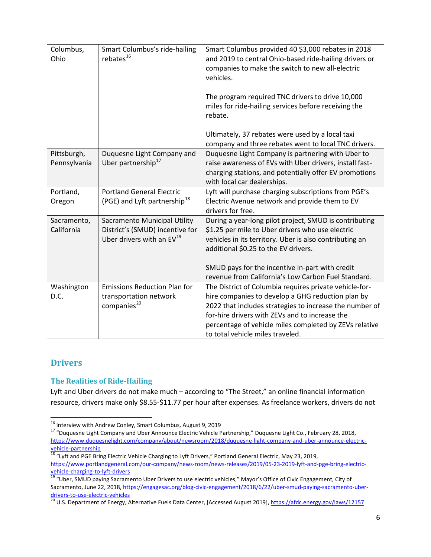| Columbus,<br>Ohio           | Smart Columbus's ride-hailing<br>rebates <sup>16</sup>                                            | Smart Columbus provided 40 \$3,000 rebates in 2018<br>and 2019 to central Ohio-based ride-hailing drivers or<br>companies to make the switch to new all-electric<br>vehicles.<br>The program required TNC drivers to drive 10,000<br>miles for ride-hailing services before receiving the<br>rebate.<br>Ultimately, 37 rebates were used by a local taxi |
|-----------------------------|---------------------------------------------------------------------------------------------------|----------------------------------------------------------------------------------------------------------------------------------------------------------------------------------------------------------------------------------------------------------------------------------------------------------------------------------------------------------|
|                             |                                                                                                   | company and three rebates went to local TNC drivers.                                                                                                                                                                                                                                                                                                     |
| Pittsburgh,<br>Pennsylvania | Duquesne Light Company and<br>Uber partnership <sup>17</sup>                                      | Duquesne Light Company is partnering with Uber to<br>raise awareness of EVs with Uber drivers, install fast-<br>charging stations, and potentially offer EV promotions<br>with local car dealerships.                                                                                                                                                    |
| Portland,<br>Oregon         | <b>Portland General Electric</b><br>(PGE) and Lyft partnership <sup>18</sup>                      | Lyft will purchase charging subscriptions from PGE's<br>Electric Avenue network and provide them to EV<br>drivers for free.                                                                                                                                                                                                                              |
| Sacramento,<br>California   | Sacramento Municipal Utility<br>District's (SMUD) incentive for<br>Uber drivers with an $EV^{19}$ | During a year-long pilot project, SMUD is contributing<br>\$1.25 per mile to Uber drivers who use electric<br>vehicles in its territory. Uber is also contributing an<br>additional \$0.25 to the EV drivers.<br>SMUD pays for the incentive in-part with credit<br>revenue from California's Low Carbon Fuel Standard.                                  |
| Washington<br>D.C.          | <b>Emissions Reduction Plan for</b><br>transportation network<br>companies <sup>20</sup>          | The District of Columbia requires private vehicle-for-<br>hire companies to develop a GHG reduction plan by<br>2022 that includes strategies to increase the number of<br>for-hire drivers with ZEVs and to increase the<br>percentage of vehicle miles completed by ZEVs relative<br>to total vehicle miles traveled.                                   |

# <span id="page-6-0"></span>**Drivers**

#### <span id="page-6-1"></span>**The Realities of Ride-Hailing**

Lyft and Uber drivers do not make much – according to "The Street," an online financial information resource, drivers make only \$8.55-\$11.77 per hour after expenses. As freelance workers, drivers do not

<span id="page-6-3"></span><span id="page-6-2"></span><sup>&</sup>lt;sup>16</sup> Interview with Andrew Conley, Smart Columbus, August 9, 2019<br><sup>17</sup> "Duquesne Light Company and Uber Announce Electric Vehicle Partnership," Duquesne Light Co., February 28, 2018, [https://www.duquesnelight.com/company/about/newsroom/2018/duquesne-light-company-and-uber-announce-electric](https://www.duquesnelight.com/company/about/newsroom/2018/duquesne-light-company-and-uber-announce-electric-vehicle-partnership)[vehicle-partnership](https://www.duquesnelight.com/company/about/newsroom/2018/duquesne-light-company-and-uber-announce-electric-vehicle-partnership)<br><sup>18</sup> "Lyft and PGE Bring Electric Vehicle Charging to Lyft Drivers," Portland General Electric, May 23, 2019,

<span id="page-6-4"></span>[https://www.portlandgeneral.com/our-company/news-room/news-releases/2019/05-23-2019-lyft-and-pge-bring-electric](https://www.portlandgeneral.com/our-company/news-room/news-releases/2019/05-23-2019-lyft-and-pge-bring-electric-vehicle-charging-to-lyft-drivers)[vehicle-charging-to-lyft-drivers](https://www.portlandgeneral.com/our-company/news-room/news-releases/2019/05-23-2019-lyft-and-pge-bring-electric-vehicle-charging-to-lyft-drivers)<br>
<sup>19</sup> "Uber, SMUD paying Sacramento Uber Drivers to use electric vehicles," Mayor's Office of Civic Engagement, City of

<span id="page-6-5"></span>Sacramento, June 22, 2018, [https://engagesac.org/blog-civic-engagement/2018/6/22/uber-smud-paying-sacramento-uber](https://engagesac.org/blog-civic-engagement/2018/6/22/uber-smud-paying-sacramento-uber-drivers-to-use-electric-vehicles)[drivers-to-use-electric-vehicles](https://engagesac.org/blog-civic-engagement/2018/6/22/uber-smud-paying-sacramento-uber-drivers-to-use-electric-vehicles)<br><sup>20</sup> U.S. Department of Energy, Alternative Fuels Data Center, [Accessed August 2019],<https://afdc.energy.gov/laws/12157>

<span id="page-6-6"></span>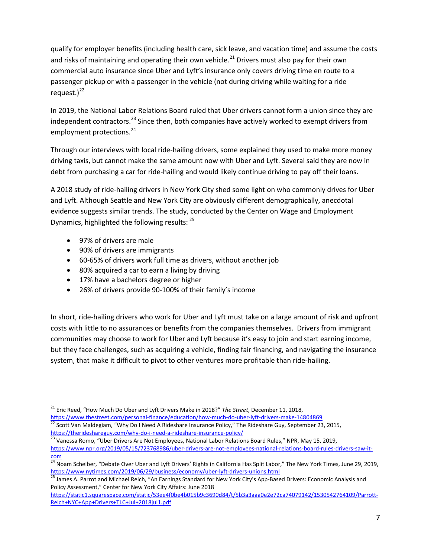qualify for employer benefits (including health care, sick leave, and vacation time) and assume the costs and risks of maintaining and operating their own vehicle.<sup>[21](#page-7-0)</sup> Drivers must also pay for their own commercial auto insurance since Uber and Lyft's insurance only covers driving time en route to a passenger pickup or with a passenger in the vehicle (not during driving while waiting for a ride request.) $^{22}$  $^{22}$  $^{22}$ 

In 2019, the National Labor Relations Board ruled that Uber drivers cannot form a union since they are independent contractors.<sup>[23](#page-7-2)</sup> Since then, both companies have actively worked to exempt drivers from employment protections.<sup>[24](#page-7-3)</sup>

Through our interviews with local ride-hailing drivers, some explained they used to make more money driving taxis, but cannot make the same amount now with Uber and Lyft. Several said they are now in debt from purchasing a car for ride-hailing and would likely continue driving to pay off their loans.

A 2018 study of ride-hailing drivers in New York City shed some light on who commonly drives for Uber and Lyft. Although Seattle and New York City are obviously different demographically, anecdotal evidence suggests similar trends. The study, conducted by the Center on Wage and Employment Dynamics, highlighted the following results:  $25$ 

- 97% of drivers are male
- 90% of drivers are immigrants
- 60-65% of drivers work full time as drivers, without another job
- 80% acquired a car to earn a living by driving
- 17% have a bachelors degree or higher
- 26% of drivers provide 90-100% of their family's income

In short, ride-hailing drivers who work for Uber and Lyft must take on a large amount of risk and upfront costs with little to no assurances or benefits from the companies themselves. Drivers from immigrant communities may choose to work for Uber and Lyft because it's easy to join and start earning income, but they face challenges, such as acquiring a vehicle, finding fair financing, and navigating the insurance system, that make it difficult to pivot to other ventures more profitable than ride-hailing.

<span id="page-7-0"></span> <sup>21</sup> Eric Reed, "How Much Do Uber and Lyft Drivers Make in 2018?" *The Street*, December 11, 2018,

<span id="page-7-1"></span><https://www.thestreet.com/personal-finance/education/how-much-do-uber-lyft-drivers-make-14804869><br><sup>22</sup> Scott Van Maldegiam, "Why Do I Need A Rideshare Insurance Policy," The Rideshare Guy, September 23, 2015,<br>https://therid

<span id="page-7-2"></span>https://therideshare-index.com/why-do-ineed-a-rideshare-policies-policies-policies-policies-policy-policy-poli<br>23 Vanessa Romo, "Uber Drivers Are Not Employees, National Labor Relations Board Rules," NPR, May 15, 2019, [https://www.npr.org/2019/05/15/723768986/uber-drivers-are-not-employees-national-relations-board-rules-drivers-saw-it](https://www.npr.org/2019/05/15/723768986/uber-drivers-are-not-employees-national-relations-board-rules-drivers-saw-it-com)[com](https://www.npr.org/2019/05/15/723768986/uber-drivers-are-not-employees-national-relations-board-rules-drivers-saw-it-com)

<span id="page-7-3"></span> $^{24}$  Noam Scheiber, "Debate Over Uber and Lyft Drivers' Rights in California Has Split Labor," The New York Times, June 29, 2019, <https://www.nytimes.com/2019/06/29/business/economy/uber-lyft-drivers-unions.html><br><sup>25</sup> James A. Parrot and Michael Reich, "An Earnings Standard for New York City's App-Based Drivers: Economic Analysis and

<span id="page-7-4"></span>Policy Assessment," Center for New York City Affairs: June 2018

[https://static1.squarespace.com/static/53ee4f0be4b015b9c3690d84/t/5b3a3aaa0e2e72ca74079142/1530542764109/Parrott-](https://static1.squarespace.com/static/53ee4f0be4b015b9c3690d84/t/5b3a3aaa0e2e72ca74079142/1530542764109/Parrott-Reich+NYC+App+Drivers+TLC+Jul+2018jul1.pdf)[Reich+NYC+App+Drivers+TLC+Jul+2018jul1.pdf](https://static1.squarespace.com/static/53ee4f0be4b015b9c3690d84/t/5b3a3aaa0e2e72ca74079142/1530542764109/Parrott-Reich+NYC+App+Drivers+TLC+Jul+2018jul1.pdf)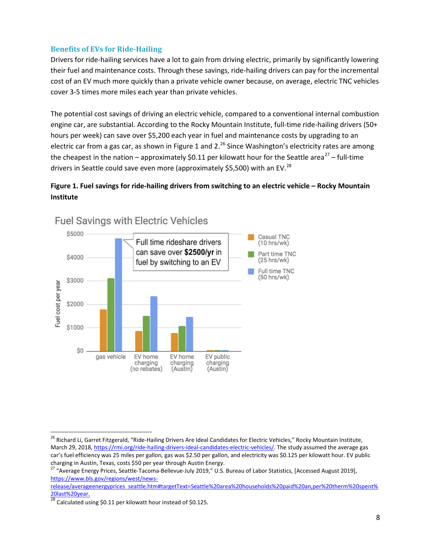#### <span id="page-8-0"></span>**Benefits of EVs for Ride-Hailing**

Drivers for ride-hailing services have a lot to gain from driving electric, primarily by significantly lowering their fuel and maintenance costs. Through these savings, ride-hailing drivers can pay for the incremental cost of an EV much more quickly than a private vehicle owner because, on average, electric TNC vehicles cover 3-5 times more miles each year than private vehicles.

The potential cost savings of driving an electric vehicle, compared to a conventional internal combustion engine car, are substantial. According to the Rocky Mountain Institute, full-time ride-hailing drivers (50+ hours per week) can save over \$5,200 each year in fuel and maintenance costs by upgrading to an electric car from a gas car, as shown in Figure 1 and 2.<sup>[26](#page-8-1)</sup> Since Washington's electricity rates are among the cheapest in the nation – approximately \$0.11 per kilowatt hour for the Seattle area<sup>[27](#page-8-2)</sup> – full-time drivers in Seattle could save even more (approximately \$5,500) with an EV.<sup>[28](#page-8-3)</sup>

### **Figure 1. Fuel savings for ride-hailing drivers from switching to an electric vehicle – Rocky Mountain Institute**



# **Fuel Savings with Electric Vehicles**

<span id="page-8-1"></span><sup>&</sup>lt;sup>26</sup> Richard Li, Garret Fitzgerald, "Ride-Hailing Drivers Are Ideal Candidates for Electric Vehicles," Rocky Mountain Institute, March 29, 2018[, https://rmi.org/ride-hailing-drivers-ideal-candidates-electric-vehicles/.](https://rmi.org/ride-hailing-drivers-ideal-candidates-electric-vehicles/) The study assumed the average gas car's fuel efficiency was 25 miles per gallon, gas was \$2.50 per gallon, and electricity was \$0.125 per kilowatt hour. EV public charging in Austin, Texas, costs \$50 per year through Austin Energy.

<span id="page-8-2"></span><sup>&</sup>lt;sup>27</sup> "Average Energy Prices, Seattle-Tacoma-Bellevue-July 2019," U.S. Bureau of Labor Statistics, [Accessed August 2019], [https://www.bls.gov/regions/west/news-](https://www.bls.gov/regions/west/news-release/averageenergyprices_seattle.htm#targetText=Seattle%20area%20households%20paid%20an,per%20therm%20spent%20last%20year.)

[release/averageenergyprices\\_seattle.htm#targetText=Seattle%20area%20households%20paid%20an,per%20therm%20spent%](https://www.bls.gov/regions/west/news-release/averageenergyprices_seattle.htm#targetText=Seattle%20area%20households%20paid%20an,per%20therm%20spent%20last%20year.) [20last%20year.](https://www.bls.gov/regions/west/news-release/averageenergyprices_seattle.htm#targetText=Seattle%20area%20households%20paid%20an,per%20therm%20spent%20last%20year.)

<span id="page-8-3"></span> $\overline{^{28}}$  Calculated using \$0.11 per kilowatt hour instead of \$0.125.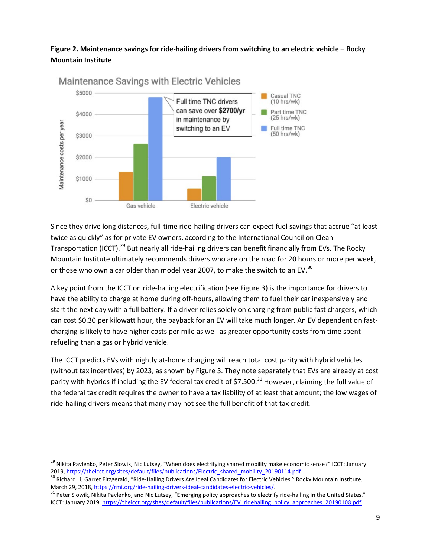#### **Figure 2. Maintenance savings for ride-hailing drivers from switching to an electric vehicle – Rocky Mountain Institute**



Since they drive long distances, full-time ride-hailing drivers can expect fuel savings that accrue "at least twice as quickly" as for private EV owners, according to the International Council on Clean Transportation (ICCT).<sup>[29](#page-9-0)</sup> But nearly all ride-hailing drivers can benefit financially from EVs. The Rocky Mountain Institute ultimately recommends drivers who are on the road for 20 hours or more per week, or those who own a car older than model year 2007, to make the switch to an EV.<sup>[30](#page-9-1)</sup>

A key point from the ICCT on ride-hailing electrification (see Figure 3) is the importance for drivers to have the ability to charge at home during off-hours, allowing them to fuel their car inexpensively and start the next day with a full battery. If a driver relies solely on charging from public fast chargers, which can cost \$0.30 per kilowatt hour, the payback for an EV will take much longer. An EV dependent on fastcharging is likely to have higher costs per mile as well as greater opportunity costs from time spent refueling than a gas or hybrid vehicle.

The ICCT predicts EVs with nightly at-home charging will reach total cost parity with hybrid vehicles (without tax incentives) by 2023, as shown by Figure 3. They note separately that EVs are already at cost parity with hybrids if including the EV federal tax credit of \$7,500.<sup>[31](#page-9-2)</sup> However, claiming the full value of the federal tax credit requires the owner to have a tax liability of at least that amount; the low wages of ride-hailing drivers means that many may not see the full benefit of that tax credit.

<span id="page-9-0"></span><sup>&</sup>lt;sup>29</sup> Nikita Pavlenko, Peter Slowik, Nic Lutsey, "When does electrifying shared mobility make economic sense?" ICCT: January<br>2019, https://theicct.org/sites/default/files/publications/Electric shared mobility 20190114.pdf

<span id="page-9-1"></span><sup>&</sup>lt;sup>30</sup> Richard Li, Garret Fitzgerald, "Ride-Hailing Drivers Are Ideal Candidates for Electric Vehicles," Rocky Mountain Institute,<br>March 29, 2018, https://rmi.org/ride-hailing-drivers-ideal-candidates-electric-vehicles/.

<span id="page-9-2"></span> $31$  Peter Slowik, Nikita Pavlenko, and Nic Lutsey, "Emerging policy approaches to electrify ride-hailing in the United States," ICCT: January 2019[, https://theicct.org/sites/default/files/publications/EV\\_ridehailing\\_policy\\_approaches\\_20190108.pdf](https://theicct.org/sites/default/files/publications/EV_ridehailing_policy_approaches_20190108.pdf)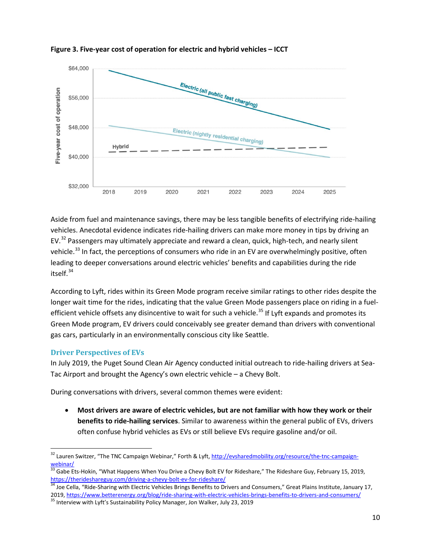

#### **Figure 3. Five-year cost of operation for electric and hybrid vehicles – ICCT**

Aside from fuel and maintenance savings, there may be less tangible benefits of electrifying ride-hailing vehicles. Anecdotal evidence indicates ride-hailing drivers can make more money in tips by driving an  $EV<sup>32</sup>$  $EV<sup>32</sup>$  $EV<sup>32</sup>$  Passengers may ultimately appreciate and reward a clean, quick, high-tech, and nearly silent vehicle.<sup>[33](#page-10-2)</sup> In fact, the perceptions of consumers who ride in an EV are overwhelmingly positive, often leading to deeper conversations around electric vehicles' benefits and capabilities during the ride itself. $34$ 

According to Lyft, rides within its Green Mode program receive similar ratings to other rides despite the longer wait time for the rides, indicating that the value Green Mode passengers place on riding in a fuel-efficient vehicle offsets any disincentive to wait for such a vehicle.<sup>[35](#page-10-4)</sup> If Lyft expands and promotes its Green Mode program, EV drivers could conceivably see greater demand than drivers with conventional gas cars, particularly in an environmentally conscious city like Seattle.

#### <span id="page-10-0"></span>**Driver Perspectives of EVs**

In July 2019, the Puget Sound Clean Air Agency conducted initial outreach to ride-hailing drivers at Sea-Tac Airport and brought the Agency's own electric vehicle – a Chevy Bolt.

During conversations with drivers, several common themes were evident:

• **Most drivers are aware of electric vehicles, but are not familiar with how they work or their benefits to ride-hailing services**. Similar to awareness within the general public of EVs, drivers often confuse hybrid vehicles as EVs or still believe EVs require gasoline and/or oil.

<span id="page-10-1"></span><sup>&</sup>lt;sup>32</sup> Lauren Switzer, "The TNC Campaign Webinar," Forth & Lyft[, http://evsharedmobility.org/resource/the-tnc-campaign](http://evsharedmobility.org/resource/the-tnc-campaign-webinar/)[webinar/](http://evsharedmobility.org/resource/the-tnc-campaign-webinar/)

<span id="page-10-2"></span><sup>&</sup>lt;sup>33</sup> Gabe Ets-Hokin, "What Happens When You Drive a Chevy Bolt EV for Rideshare," The Rideshare Guy, February 15, 2019, <https://therideshareguy.com/driving-a-chevy-bolt-ev-for-rideshare/> 34 Interview in the Nueshare Guy, February 15, 2019,<br><sup>34</sup> Joe Cella, "Ride-Sharing with Electric Vehicles Brings Benefits to Drivers and Consumers," Great

<span id="page-10-3"></span><sup>2019</sup>[, https://www.betterenergy.org/blog/ride-sharing-with-electric-vehicles-brings-benefits-to-drivers-and-consumers/](https://www.betterenergy.org/blog/ride-sharing-with-electric-vehicles-brings-benefits-to-drivers-and-consumers/) 35 Interview with Lyft's Sustainability Policy Manager, Jon Walker, July 23, 2019

<span id="page-10-4"></span>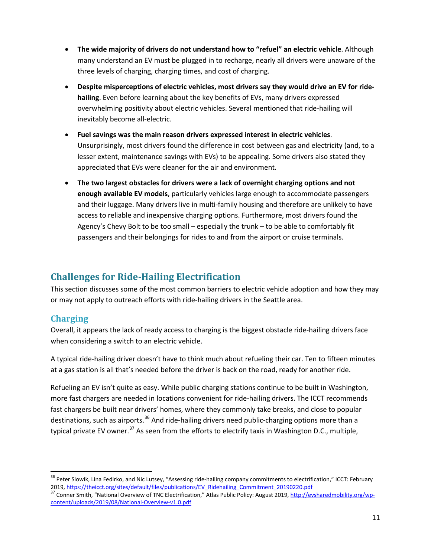- **The wide majority of drivers do not understand how to "refuel" an electric vehicle**. Although many understand an EV must be plugged in to recharge, nearly all drivers were unaware of the three levels of charging, charging times, and cost of charging.
- **Despite misperceptions of electric vehicles, most drivers say they would drive an EV for ridehailing**. Even before learning about the key benefits of EVs, many drivers expressed overwhelming positivity about electric vehicles. Several mentioned that ride-hailing will inevitably become all-electric.
- **Fuel savings was the main reason drivers expressed interest in electric vehicles**. Unsurprisingly, most drivers found the difference in cost between gas and electricity (and, to a lesser extent, maintenance savings with EVs) to be appealing. Some drivers also stated they appreciated that EVs were cleaner for the air and environment.
- **The two largest obstacles for drivers were a lack of overnight charging options and not enough available EV models**, particularly vehicles large enough to accommodate passengers and their luggage. Many drivers live in multi-family housing and therefore are unlikely to have access to reliable and inexpensive charging options. Furthermore, most drivers found the Agency's Chevy Bolt to be too small – especially the trunk – to be able to comfortably fit passengers and their belongings for rides to and from the airport or cruise terminals.

# <span id="page-11-0"></span>**Challenges for Ride-Hailing Electrification**

This section discusses some of the most common barriers to electric vehicle adoption and how they may or may not apply to outreach efforts with ride-hailing drivers in the Seattle area.

# <span id="page-11-1"></span>**Charging**

Overall, it appears the lack of ready access to charging is the biggest obstacle ride-hailing drivers face when considering a switch to an electric vehicle.

A typical ride-hailing driver doesn't have to think much about refueling their car. Ten to fifteen minutes at a gas station is all that's needed before the driver is back on the road, ready for another ride.

Refueling an EV isn't quite as easy. While public charging stations continue to be built in Washington, more fast chargers are needed in locations convenient for ride-hailing drivers. The ICCT recommends fast chargers be built near drivers' homes, where they commonly take breaks, and close to popular destinations, such as airports.<sup>[36](#page-11-2)</sup> And ride-hailing drivers need public-charging options more than a typical private EV owner.<sup>[37](#page-11-3)</sup> As seen from the efforts to electrify taxis in Washington D.C., multiple,

<span id="page-11-2"></span><sup>&</sup>lt;sup>36</sup> Peter Slowik, Lina Fedirko, and Nic Lutsey, "Assessing ride-hailing company commitments to electrification," ICCT: February<br>2019, https://theicct.org/sites/default/files/publications/EV Ridehailing Commitment 20190220

<span id="page-11-3"></span><sup>&</sup>lt;sup>37</sup> Conner Smith, "National Overview of TNC Electrification," Atlas Public Policy: August 2019, [http://evsharedmobility.org/wp](http://evsharedmobility.org/wp-content/uploads/2019/08/National-Overview-v1.0.pdf)[content/uploads/2019/08/National-Overview-v1.0.pdf](http://evsharedmobility.org/wp-content/uploads/2019/08/National-Overview-v1.0.pdf)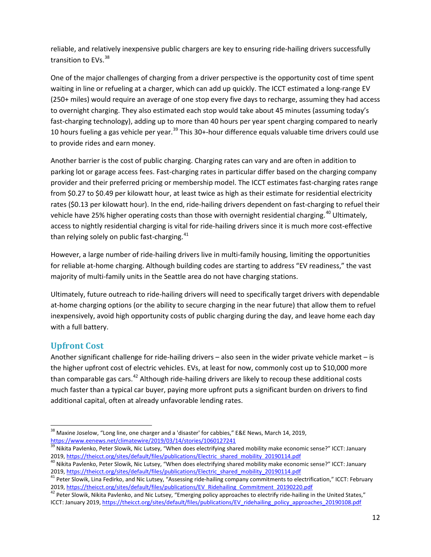reliable, and relatively inexpensive public chargers are key to ensuring ride-hailing drivers successfully transition to EVs. [38](#page-12-1)

One of the major challenges of charging from a driver perspective is the opportunity cost of time spent waiting in line or refueling at a charger, which can add up quickly. The ICCT estimated a long-range EV (250+ miles) would require an average of one stop every five days to recharge, assuming they had access to overnight charging. They also estimated each stop would take about 45 minutes (assuming today's fast-charging technology), adding up to more than 40 hours per year spent charging compared to nearly 10 hours fueling a gas vehicle per year.<sup>[39](#page-12-2)</sup> This 30+-hour difference equals valuable time drivers could use to provide rides and earn money.

Another barrier is the cost of public charging. Charging rates can vary and are often in addition to parking lot or garage access fees. Fast-charging rates in particular differ based on the charging company provider and their preferred pricing or membership model. The ICCT estimates fast-charging rates range from \$0.27 to \$0.49 per kilowatt hour, at least twice as high as their estimate for residential electricity rates (\$0.13 per kilowatt hour). In the end, ride-hailing drivers dependent on fast-charging to refuel their vehicle have 25% higher operating costs than those with overnight residential charging.<sup>[40](#page-12-3)</sup> Ultimately, access to nightly residential charging is vital for ride-hailing drivers since it is much more cost-effective than relying solely on public fast-charging.<sup>[41](#page-12-4)</sup>

However, a large number of ride-hailing drivers live in multi-family housing, limiting the opportunities for reliable at-home charging. Although building codes are starting to address "EV readiness," the vast majority of multi-family units in the Seattle area do not have charging stations.

Ultimately, future outreach to ride-hailing drivers will need to specifically target drivers with dependable at-home charging options (or the ability to secure charging in the near future) that allow them to refuel inexpensively, avoid high opportunity costs of public charging during the day, and leave home each day with a full battery.

# <span id="page-12-0"></span>**Upfront Cost**

Another significant challenge for ride-hailing drivers – also seen in the wider private vehicle market – is the higher upfront cost of electric vehicles. EVs, at least for now, commonly cost up to \$10,000 more than comparable gas cars.<sup>[42](#page-12-5)</sup> Although ride-hailing drivers are likely to recoup these additional costs much faster than a typical car buyer, paying more upfront puts a significant burden on drivers to find additional capital, often at already unfavorable lending rates.

<span id="page-12-1"></span> $38$  Maxine Joselow, "Long line, one charger and a 'disaster' for cabbies," E&E News, March 14, 2019, <https://www.eenews.net/climatewire/2019/03/14/stories/1060127241>

<span id="page-12-2"></span><sup>39</sup> Nikita Pavlenko, Peter Slowik, Nic Lutsey, "When does electrifying shared mobility make economic sense?" ICCT: January<br>2019, https://theicct.org/sites/default/files/publications/Electric\_shared\_mobility\_20190114.pdf

<span id="page-12-3"></span><sup>&</sup>lt;sup>40</sup> Nikita Pavlenko, Peter Slowik, Nic Lutsey, "When does electrifying shared mobility make economic sense?" ICCT: January<br>2019, https://theicct.org/sites/default/files/publications/Electric shared mobility 20190114.pdf

<span id="page-12-4"></span><sup>&</sup>lt;sup>41</sup> Peter Slowik, Lina Fedirko, and Nic Lutsey, "Assessing ride-hailing company commitments to electrification," ICCT: February<br>2019, https://theicct.org/sites/default/files/publications/EV Ridehailing Commitment 20190220

<span id="page-12-5"></span><sup>&</sup>lt;sup>42</sup> Peter Slowik, Nikita Pavlenko, and Nic Lutsey, "Emerging policy approaches to electrify ride-hailing in the United States," ICCT: January 2019[, https://theicct.org/sites/default/files/publications/EV\\_ridehailing\\_policy\\_approaches\\_20190108.pdf](https://theicct.org/sites/default/files/publications/EV_ridehailing_policy_approaches_20190108.pdf)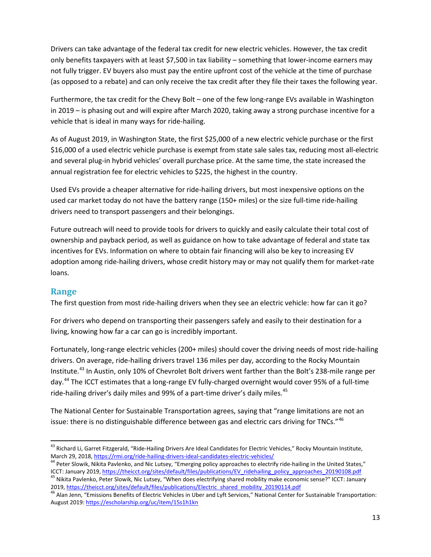Drivers can take advantage of the federal tax credit for new electric vehicles. However, the tax credit only benefits taxpayers with at least \$7,500 in tax liability – something that lower-income earners may not fully trigger. EV buyers also must pay the entire upfront cost of the vehicle at the time of purchase (as opposed to a rebate) and can only receive the tax credit after they file their taxes the following year.

Furthermore, the tax credit for the Chevy Bolt – one of the few long-range EVs available in Washington in 2019 – is phasing out and will expire after March 2020, taking away a strong purchase incentive for a vehicle that is ideal in many ways for ride-hailing.

As of August 2019, in Washington State, the first \$25,000 of a new electric vehicle purchase or the first \$16,000 of a used electric vehicle purchase is exempt from state sale sales tax, reducing most all-electric and several plug-in hybrid vehicles' overall purchase price. At the same time, the state increased the annual registration fee for electric vehicles to \$225, the highest in the country.

Used EVs provide a cheaper alternative for ride-hailing drivers, but most inexpensive options on the used car market today do not have the battery range (150+ miles) or the size full-time ride-hailing drivers need to transport passengers and their belongings.

Future outreach will need to provide tools for drivers to quickly and easily calculate their total cost of ownership and payback period, as well as guidance on how to take advantage of federal and state tax incentives for EVs. Information on where to obtain fair financing will also be key to increasing EV adoption among ride-hailing drivers, whose credit history may or may not qualify them for market-rate loans.

#### <span id="page-13-0"></span>**Range**

The first question from most ride-hailing drivers when they see an electric vehicle: how far can it go?

For drivers who depend on transporting their passengers safely and easily to their destination for a living, knowing how far a car can go is incredibly important.

Fortunately, long-range electric vehicles (200+ miles) should cover the driving needs of most ride-hailing drivers. On average, ride-hailing drivers travel 136 miles per day, according to the Rocky Mountain Institute.<sup>[43](#page-13-1)</sup> In Austin, only 10% of Chevrolet Bolt drivers went farther than the Bolt's 238-mile range per day.<sup>[44](#page-13-2)</sup> The ICCT estimates that a long-range EV fully-charged overnight would cover 95% of a full-time ride-hailing driver's daily miles and 99% of a part-time driver's daily miles.<sup>[45](#page-13-3)</sup>

The National Center for Sustainable Transportation agrees, saying that "range limitations are not an issue: there is no distinguishable difference between gas and electric cars driving for TNCs."[46](#page-13-4)

<span id="page-13-1"></span><sup>&</sup>lt;sup>43</sup> Richard Li, Garret Fitzgerald, "Ride-Hailing Drivers Are Ideal Candidates for Electric Vehicles," Rocky Mountain Institute,<br>March 29, 2018, https://rmi.org/ride-hailing-drivers-ideal-candidates-electric-vehicles/

<span id="page-13-2"></span><sup>&</sup>lt;sup>44</sup> Peter Slowik, Nikita Pavlenko, and Nic Lutsey, "Emerging policy approaches to electrify ride-hailing in the United States,"<br>ICCT: January 2019, https://theicct.org/sites/default/files/publications/EV ridehailing polic

<span id="page-13-3"></span><sup>&</sup>lt;sup>45</sup> Nikita Pavlenko, Peter Slowik, Nic Lutsey, "When does electrifying shared mobility make economic sense?" ICCT: January<br>2019, https://theicct.org/sites/default/files/publications/Electric shared mobility 20190114.pdf

<span id="page-13-4"></span><sup>&</sup>lt;sup>46</sup> Alan Jenn, "Emissions Benefits of Electric Vehicles in Uber and Lyft Services," National Center for Sustainable Transportation: August 2019[: https://escholarship.org/uc/item/15s1h1kn](https://escholarship.org/uc/item/15s1h1kn)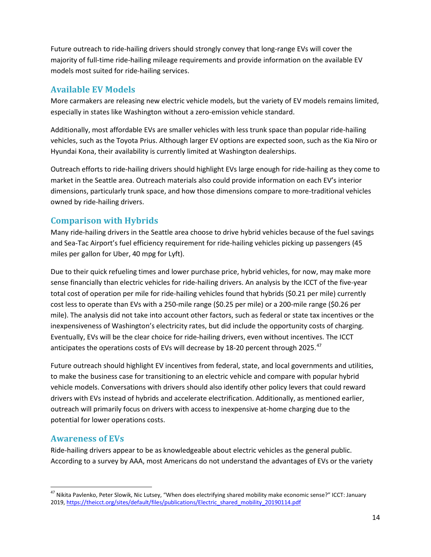Future outreach to ride-hailing drivers should strongly convey that long-range EVs will cover the majority of full-time ride-hailing mileage requirements and provide information on the available EV models most suited for ride-hailing services.

# <span id="page-14-0"></span>**Available EV Models**

More carmakers are releasing new electric vehicle models, but the variety of EV models remains limited, especially in states like Washington without a zero-emission vehicle standard.

Additionally, most affordable EVs are smaller vehicles with less trunk space than popular ride-hailing vehicles, such as the Toyota Prius. Although larger EV options are expected soon, such as the Kia Niro or Hyundai Kona, their availability is currently limited at Washington dealerships.

Outreach efforts to ride-hailing drivers should highlight EVs large enough for ride-hailing as they come to market in the Seattle area. Outreach materials also could provide information on each EV's interior dimensions, particularly trunk space, and how those dimensions compare to more-traditional vehicles owned by ride-hailing drivers.

# <span id="page-14-1"></span>**Comparison with Hybrids**

Many ride-hailing drivers in the Seattle area choose to drive hybrid vehicles because of the fuel savings and Sea-Tac Airport's fuel efficiency requirement for ride-hailing vehicles picking up passengers (45 miles per gallon for Uber, 40 mpg for Lyft).

Due to their quick refueling times and lower purchase price, hybrid vehicles, for now, may make more sense financially than electric vehicles for ride-hailing drivers. An analysis by the ICCT of the five-year total cost of operation per mile for ride-hailing vehicles found that hybrids (\$0.21 per mile) currently cost less to operate than EVs with a 250-mile range (\$0.25 per mile) or a 200-mile range (\$0.26 per mile). The analysis did not take into account other factors, such as federal or state tax incentives or the inexpensiveness of Washington's electricity rates, but did include the opportunity costs of charging. Eventually, EVs will be the clear choice for ride-hailing drivers, even without incentives. The ICCT anticipates the operations costs of EVs will decrease by 18-20 percent through 2025. $47$ 

Future outreach should highlight EV incentives from federal, state, and local governments and utilities, to make the business case for transitioning to an electric vehicle and compare with popular hybrid vehicle models. Conversations with drivers should also identify other policy levers that could reward drivers with EVs instead of hybrids and accelerate electrification. Additionally, as mentioned earlier, outreach will primarily focus on drivers with access to inexpensive at-home charging due to the potential for lower operations costs.

# <span id="page-14-2"></span>**Awareness of EVs**

Ride-hailing drivers appear to be as knowledgeable about electric vehicles as the general public. According to a survey by AAA, most Americans do not understand the advantages of EVs or the variety

<span id="page-14-3"></span><sup>&</sup>lt;sup>47</sup> Nikita Pavlenko, Peter Slowik, Nic Lutsey, "When does electrifying shared mobility make economic sense?" ICCT: January 2019[, https://theicct.org/sites/default/files/publications/Electric\\_shared\\_mobility\\_20190114.pdf](https://theicct.org/sites/default/files/publications/Electric_shared_mobility_20190114.pdf)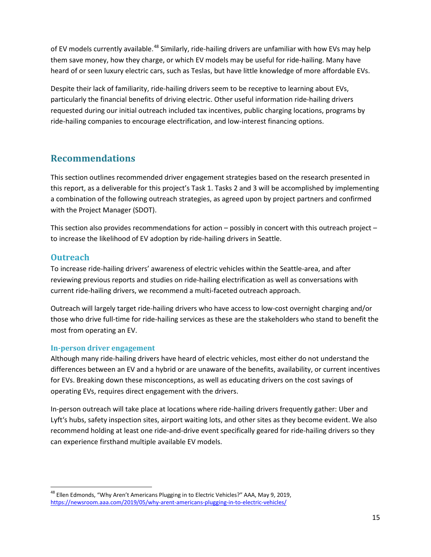of EV models currently available.<sup>[48](#page-15-3)</sup> Similarly, ride-hailing drivers are unfamiliar with how EVs may help them save money, how they charge, or which EV models may be useful for ride-hailing. Many have heard of or seen luxury electric cars, such as Teslas, but have little knowledge of more affordable EVs.

Despite their lack of familiarity, ride-hailing drivers seem to be receptive to learning about EVs, particularly the financial benefits of driving electric. Other useful information ride-hailing drivers requested during our initial outreach included tax incentives, public charging locations, programs by ride-hailing companies to encourage electrification, and low-interest financing options.

# <span id="page-15-0"></span>**Recommendations**

This section outlines recommended driver engagement strategies based on the research presented in this report, as a deliverable for this project's Task 1. Tasks 2 and 3 will be accomplished by implementing a combination of the following outreach strategies, as agreed upon by project partners and confirmed with the Project Manager (SDOT).

This section also provides recommendations for action – possibly in concert with this outreach project – to increase the likelihood of EV adoption by ride-hailing drivers in Seattle.

# <span id="page-15-1"></span>**Outreach**

To increase ride-hailing drivers' awareness of electric vehicles within the Seattle-area, and after reviewing previous reports and studies on ride-hailing electrification as well as conversations with current ride-hailing drivers, we recommend a multi-faceted outreach approach.

Outreach will largely target ride-hailing drivers who have access to low-cost overnight charging and/or those who drive full-time for ride-hailing services as these are the stakeholders who stand to benefit the most from operating an EV.

#### <span id="page-15-2"></span>**In-person driver engagement**

Although many ride-hailing drivers have heard of electric vehicles, most either do not understand the differences between an EV and a hybrid or are unaware of the benefits, availability, or current incentives for EVs. Breaking down these misconceptions, as well as educating drivers on the cost savings of operating EVs, requires direct engagement with the drivers.

In-person outreach will take place at locations where ride-hailing drivers frequently gather: Uber and Lyft's hubs, safety inspection sites, airport waiting lots, and other sites as they become evident. We also recommend holding at least one ride-and-drive event specifically geared for ride-hailing drivers so they can experience firsthand multiple available EV models.

<span id="page-15-3"></span><sup>&</sup>lt;sup>48</sup> Ellen Edmonds, "Why Aren't Americans Plugging in to Electric Vehicles?" AAA, May 9, 2019, <https://newsroom.aaa.com/2019/05/why-arent-americans-plugging-in-to-electric-vehicles/>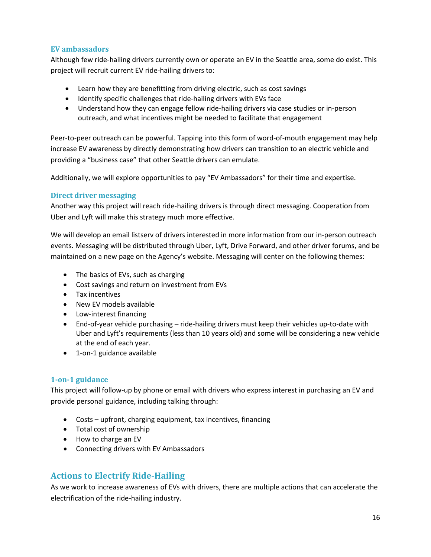#### <span id="page-16-0"></span>**EV ambassadors**

Although few ride-hailing drivers currently own or operate an EV in the Seattle area, some do exist. This project will recruit current EV ride-hailing drivers to:

- Learn how they are benefitting from driving electric, such as cost savings
- Identify specific challenges that ride-hailing drivers with EVs face
- Understand how they can engage fellow ride-hailing drivers via case studies or in-person outreach, and what incentives might be needed to facilitate that engagement

Peer-to-peer outreach can be powerful. Tapping into this form of word-of-mouth engagement may help increase EV awareness by directly demonstrating how drivers can transition to an electric vehicle and providing a "business case" that other Seattle drivers can emulate.

Additionally, we will explore opportunities to pay "EV Ambassadors" for their time and expertise.

#### <span id="page-16-1"></span>**Direct driver messaging**

Another way this project will reach ride-hailing drivers is through direct messaging. Cooperation from Uber and Lyft will make this strategy much more effective.

We will develop an email listserv of drivers interested in more information from our in-person outreach events. Messaging will be distributed through Uber, Lyft, Drive Forward, and other driver forums, and be maintained on a new page on the Agency's website. Messaging will center on the following themes:

- The basics of EVs, such as charging
- Cost savings and return on investment from EVs
- Tax incentives
- New EV models available
- Low-interest financing
- End-of-year vehicle purchasing ride-hailing drivers must keep their vehicles up-to-date with Uber and Lyft's requirements (less than 10 years old) and some will be considering a new vehicle at the end of each year.
- 1-on-1 guidance available

#### <span id="page-16-2"></span>**1-on-1 guidance**

This project will follow-up by phone or email with drivers who express interest in purchasing an EV and provide personal guidance, including talking through:

- Costs upfront, charging equipment, tax incentives, financing
- Total cost of ownership
- How to charge an EV
- Connecting drivers with EV Ambassadors

# <span id="page-16-3"></span>**Actions to Electrify Ride-Hailing**

As we work to increase awareness of EVs with drivers, there are multiple actions that can accelerate the electrification of the ride-hailing industry.